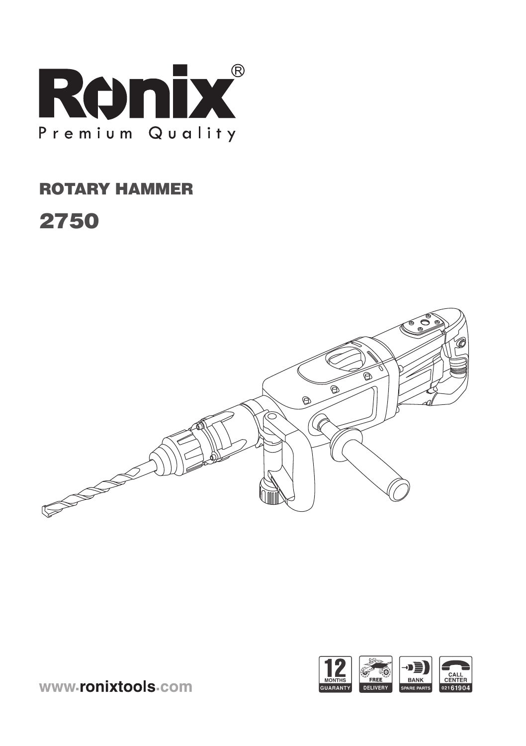

## ROTARY HAMMER 2750





www-ronixtools-com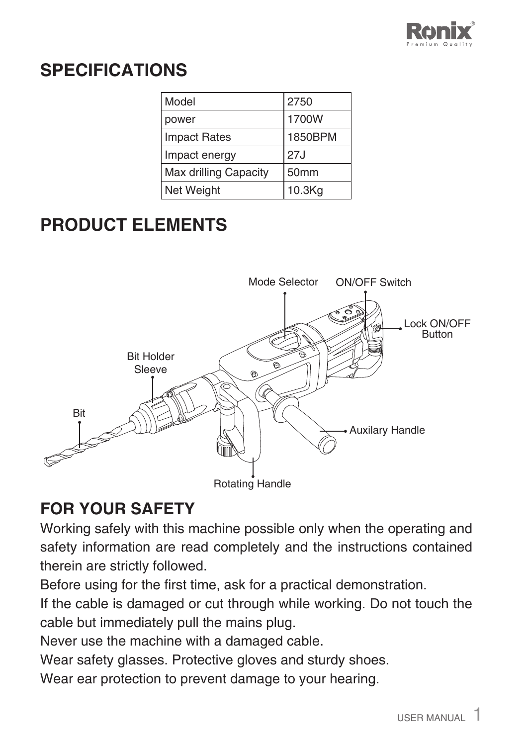

#### **SPECIFICATIONS**

| Model                 | 2750               |
|-----------------------|--------------------|
| power                 | 1700W              |
| <b>Impact Rates</b>   | 1850BPM            |
| Impact energy         | 27J                |
| Max drilling Capacity | 50 <sub>mm</sub>   |
| Net Weight            | 10.3 <sub>Kq</sub> |

### **PRODUCT ELEMENTS**



#### **FOR YOUR SAFETY**

Working safely with this machine possible only when the operating and safety information are read completely and the instructions contained therein are strictly followed.

Before using for the first time, ask for a practical demonstration.

If the cable is damaged or cut through while working. Do not touch the cable but immediately pull the mains plug.

Never use the machine with a damaged cable.

Wear safety glasses. Protective gloves and sturdy shoes.

Wear ear protection to prevent damage to your hearing.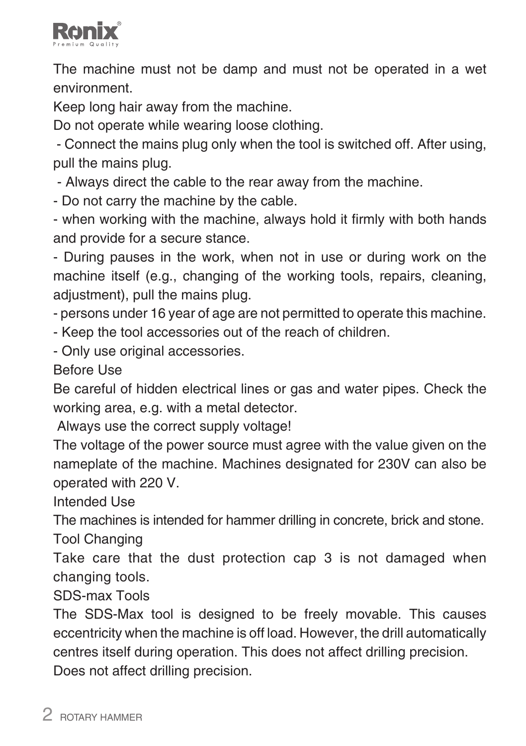

The machine must not be damp and must not be operated in a wet environment.

Keep long hair away from the machine.

Do not operate while wearing loose clothing.

 - Connect the mains plug only when the tool is switched off. After using, pull the mains plug.

- Always direct the cable to the rear away from the machine.

- Do not carry the machine by the cable.

- when working with the machine, always hold it firmly with both hands and provide for a secure stance.

- During pauses in the work, when not in use or during work on the machine itself (e.g., changing of the working tools, repairs, cleaning, adjustment), pull the mains plug.

- persons under 16 year of age are not permitted to operate this machine.

- Keep the tool accessories out of the reach of children.

- Only use original accessories.

Before Use

Be careful of hidden electrical lines or gas and water pipes. Check the working area, e.g. with a metal detector.

Always use the correct supply voltage!

The voltage of the power source must agree with the value given on the nameplate of the machine. Machines designated for 230V can also be operated with 220 V.

Intended Use

The machines is intended for hammer drilling in concrete, brick and stone.

Tool Changing

Take care that the dust protection cap 3 is not damaged when changing tools.

SDS-max Tools

The SDS-Max tool is designed to be freely movable. This causes eccentricity when the machine is off load. However, the drill automatically centres itself during operation. This does not affect drilling precision. Does not affect drilling precision.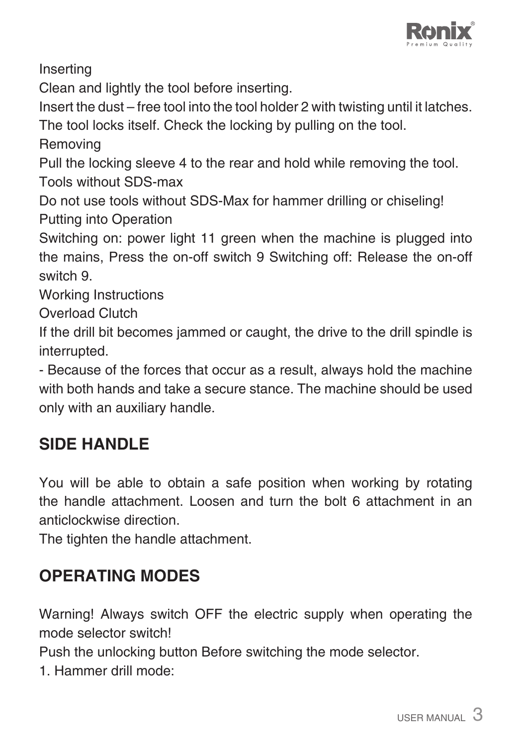

Inserting

Clean and lightly the tool before inserting.

Insert the dust – free tool into the tool holder 2 with twisting until it latches.

The tool locks itself. Check the locking by pulling on the tool.

Removing

Pull the locking sleeve 4 to the rear and hold while removing the tool. Tools without SDS-max

Do not use tools without SDS-Max for hammer drilling or chiseling! Putting into Operation

Switching on: power light 11 green when the machine is plugged into the mains, Press the on-off switch 9 Switching off: Release the on-off switch 9.

Working Instructions

Overload Clutch

If the drill bit becomes jammed or caught, the drive to the drill spindle is interrupted.

- Because of the forces that occur as a result, always hold the machine with both hands and take a secure stance. The machine should be used only with an auxiliary handle.

#### **SIDE HANDLE**

You will be able to obtain a safe position when working by rotating the handle attachment. Loosen and turn the bolt 6 attachment in an anticlockwise direction.

The tighten the handle attachment.

#### **OPERATING MODES**

Warning! Always switch OFF the electric supply when operating the mode selector switch!

Push the unlocking button Before switching the mode selector.

1. Hammer drill mode: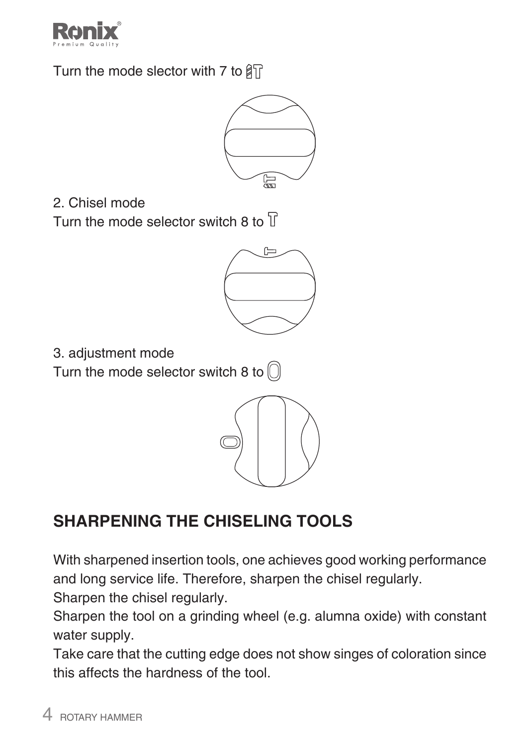

Turn the mode slector with 7 to



2. Chisel mode

Turn the mode selector switch 8 to  $\overline{\mathbb{T}}$ 



3. adjustment mode

Turn the mode selector switch 8 to  $\Box$ 



### **SHARPENING THE CHISELING TOOLS**

With sharpened insertion tools, one achieves good working performance and long service life. Therefore, sharpen the chisel regularly. Sharpen the chisel regularly.

Sharpen the tool on a grinding wheel (e.g. alumna oxide) with constant water supply.

Take care that the cutting edge does not show singes of coloration since this affects the hardness of the tool.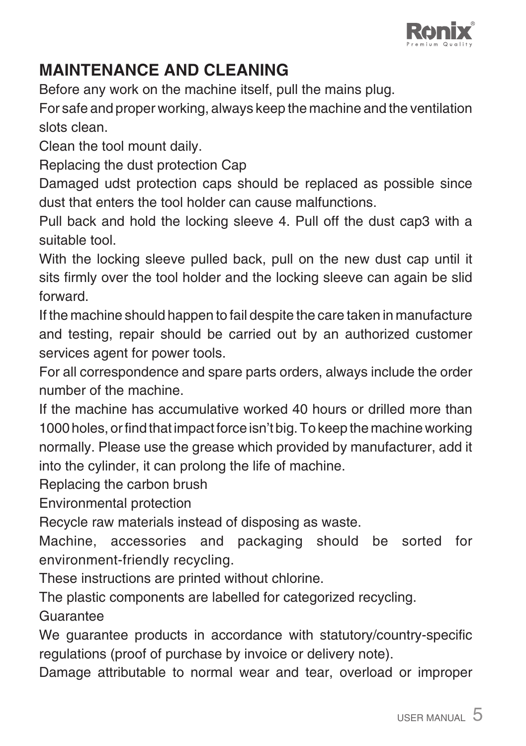

#### **MAINTENANCE AND CLEANING**

Before any work on the machine itself, pull the mains plug.

For safe and proper working, always keep the machine and the ventilation slots clean.

Clean the tool mount daily.

Replacing the dust protection Cap

Damaged udst protection caps should be replaced as possible since dust that enters the tool holder can cause malfunctions.

Pull back and hold the locking sleeve 4. Pull off the dust cap3 with a suitable tool.

With the locking sleeve pulled back, pull on the new dust cap until it sits firmly over the tool holder and the locking sleeve can again be slid forward.

If the machine should happen to fail despite the care taken in manufacture and testing, repair should be carried out by an authorized customer services agent for power tools.

For all correspondence and spare parts orders, always include the order number of the machine.

If the machine has accumulative worked 40 hours or drilled more than 1000 holes, or find that impact force isn't big. To keep the machine working normally. Please use the grease which provided by manufacturer, add it into the cylinder, it can prolong the life of machine.

Replacing the carbon brush

Environmental protection

Recycle raw materials instead of disposing as waste.

Machine, accessories and packaging should be sorted for environment-friendly recycling.

These instructions are printed without chlorine.

The plastic components are labelled for categorized recycling.

Guarantee

We guarantee products in accordance with statutory/country-specific regulations (proof of purchase by invoice or delivery note).

Damage attributable to normal wear and tear, overload or improper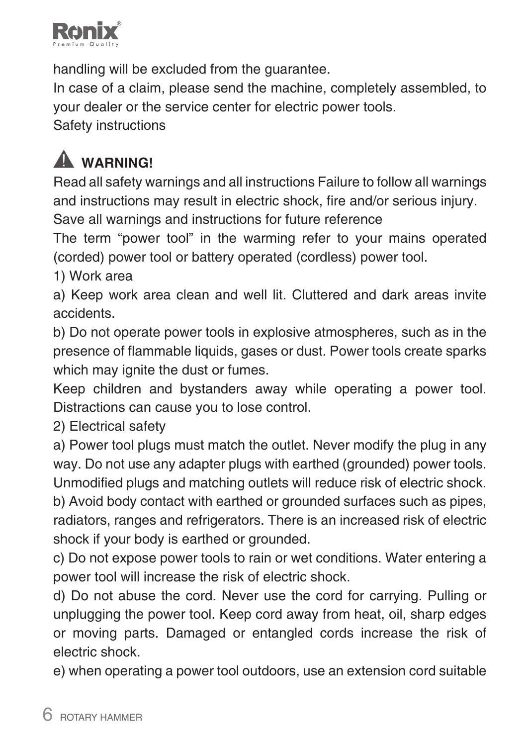

handling will be excluded from the guarantee.

In case of a claim, please send the machine, completely assembled, to your dealer or the service center for electric power tools.

Safety instructions

# **WARNING!**

Read all safety warnings and all instructions Failure to follow all warnings and instructions may result in electric shock, fire and/or serious injury.

Save all warnings and instructions for future reference

The term "power tool" in the warming refer to your mains operated (corded) power tool or battery operated (cordless) power tool.

1) Work area

a) Keep work area clean and well lit. Cluttered and dark areas invite accidents.

b) Do not operate power tools in explosive atmospheres, such as in the presence of flammable liquids, gases or dust. Power tools create sparks which may ignite the dust or fumes.

Keep children and bystanders away while operating a power tool. Distractions can cause you to lose control.

2) Electrical safety

a) Power tool plugs must match the outlet. Never modify the plug in any way. Do not use any adapter plugs with earthed (grounded) power tools. Unmodified plugs and matching outlets will reduce risk of electric shock.

b) Avoid body contact with earthed or grounded surfaces such as pipes, radiators, ranges and refrigerators. There is an increased risk of electric shock if your body is earthed or grounded.

c) Do not expose power tools to rain or wet conditions. Water entering a power tool will increase the risk of electric shock.

d) Do not abuse the cord. Never use the cord for carrying. Pulling or unplugging the power tool. Keep cord away from heat, oil, sharp edges or moving parts. Damaged or entangled cords increase the risk of electric shock.

e) when operating a power tool outdoors, use an extension cord suitable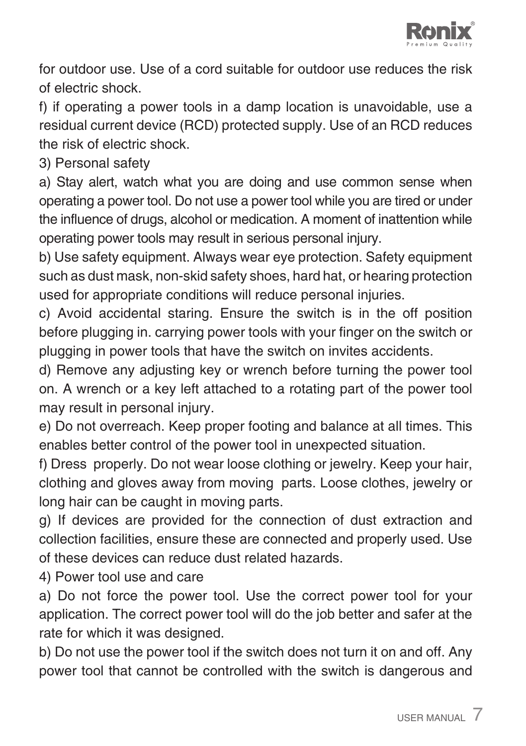

for outdoor use. Use of a cord suitable for outdoor use reduces the risk of electric shock.

f) if operating a power tools in a damp location is unavoidable, use a residual current device (RCD) protected supply. Use of an RCD reduces the risk of electric shock.

3) Personal safety

a) Stay alert, watch what you are doing and use common sense when operating a power tool. Do not use a power tool while you are tired or under the influence of drugs, alcohol or medication. A moment of inattention while operating power tools may result in serious personal injury.

b) Use safety equipment. Always wear eye protection. Safety equipment such as dust mask, non-skid safety shoes, hard hat, or hearing protection used for appropriate conditions will reduce personal injuries.

c) Avoid accidental staring. Ensure the switch is in the off position before plugging in. carrying power tools with your finger on the switch or plugging in power tools that have the switch on invites accidents.

d) Remove any adjusting key or wrench before turning the power tool on. A wrench or a key left attached to a rotating part of the power tool may result in personal injury.

e) Do not overreach. Keep proper footing and balance at all times. This enables better control of the power tool in unexpected situation.

f) Dress properly. Do not wear loose clothing or jewelry. Keep your hair, clothing and gloves away from moving parts. Loose clothes, jewelry or long hair can be caught in moving parts.

g) If devices are provided for the connection of dust extraction and collection facilities, ensure these are connected and properly used. Use of these devices can reduce dust related hazards.

4) Power tool use and care

a) Do not force the power tool. Use the correct power tool for your application. The correct power tool will do the job better and safer at the rate for which it was designed.

b) Do not use the power tool if the switch does not turn it on and off. Any power tool that cannot be controlled with the switch is dangerous and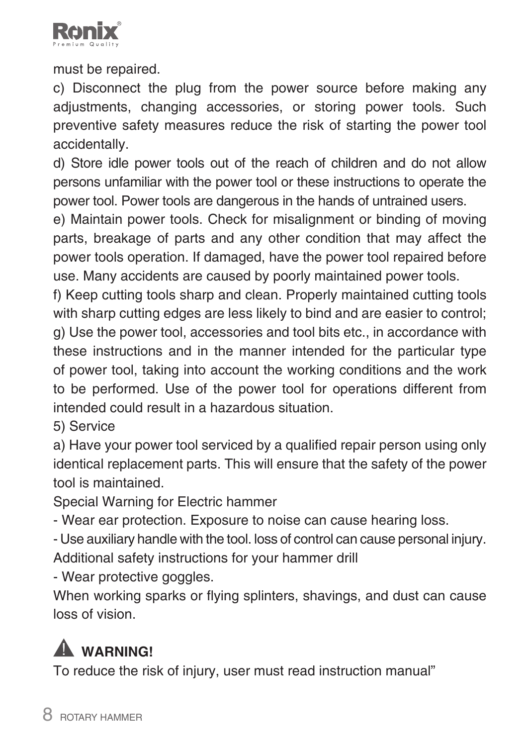

must be repaired.

c) Disconnect the plug from the power source before making any adjustments, changing accessories, or storing power tools. Such preventive safety measures reduce the risk of starting the power tool accidentally.

d) Store idle power tools out of the reach of children and do not allow persons unfamiliar with the power tool or these instructions to operate the power tool. Power tools are dangerous in the hands of untrained users.

e) Maintain power tools. Check for misalignment or binding of moving parts, breakage of parts and any other condition that may affect the power tools operation. If damaged, have the power tool repaired before use. Many accidents are caused by poorly maintained power tools.

f) Keep cutting tools sharp and clean. Properly maintained cutting tools with sharp cutting edges are less likely to bind and are easier to control; g) Use the power tool, accessories and tool bits etc., in accordance with these instructions and in the manner intended for the particular type of power tool, taking into account the working conditions and the work to be performed. Use of the power tool for operations different from intended could result in a hazardous situation.

5) Service

a) Have your power tool serviced by a qualified repair person using only identical replacement parts. This will ensure that the safety of the power tool is maintained.

Special Warning for Electric hammer

- Wear ear protection. Exposure to noise can cause hearing loss.

- Use auxiliary handle with the tool. loss of control can cause personal injury. Additional safety instructions for your hammer drill

- Wear protective goggles.

When working sparks or flying splinters, shavings, and dust can cause loss of vision.

# A WARNING!

To reduce the risk of injury, user must read instruction manual"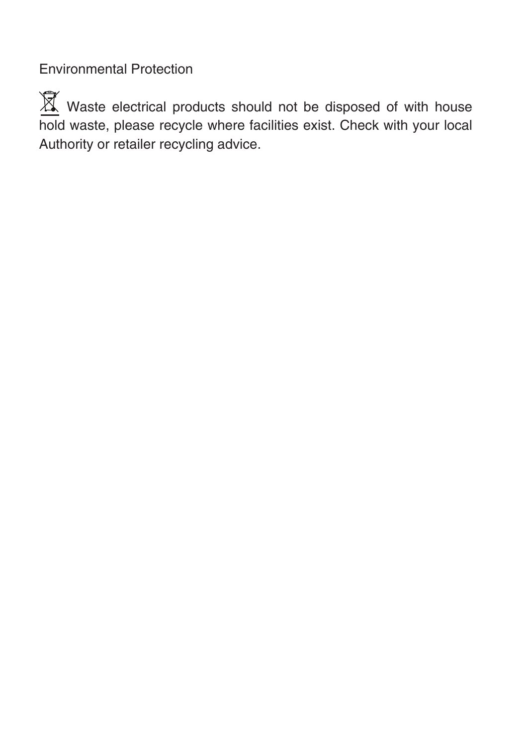Environmental Protection

 $\overline{\mathbb{X}}$  Waste electrical products should not be disposed of with house hold waste, please recycle where facilities exist. Check with your local Authority or retailer recycling advice.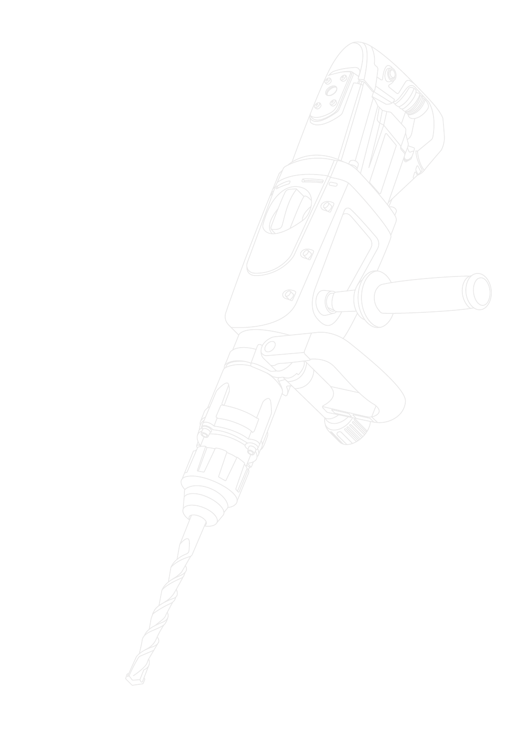